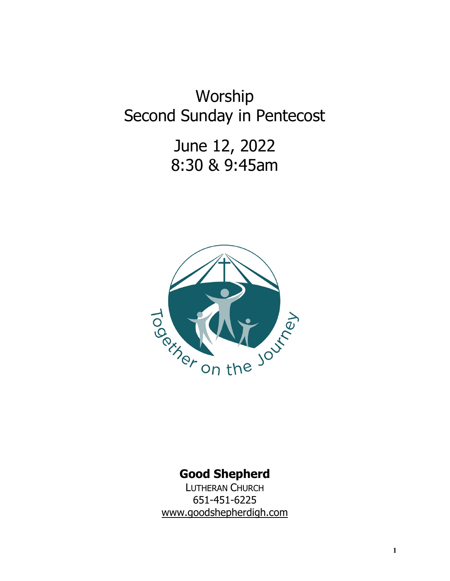Worship Second Sunday in Pentecost

> June 12, 2022 8:30 & 9:45am



# **Good Shepherd**

LUTHERAN CHURCH 651-451-6225 www.goodshepherdigh.com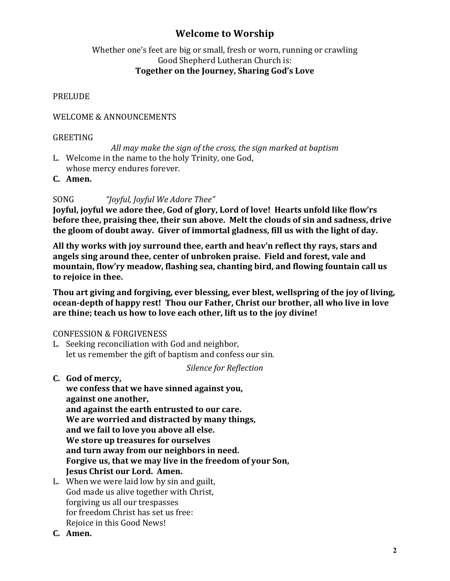# **Welcome to Worship**

# Whether one's feet are big or small, fresh or worn, running or crawling Good Shepherd Lutheran Church is: Together on the Journey, Sharing God's Love

#### **PRELUDE**

#### WELCOME & ANNOUNCEMENTS

#### GREETING

All may make the sign of the cross, the sign marked at baptism

- L. Welcome in the name to the holy Trinity, one God, whose mercy endures forever.
- **C. Amen.**

# SONG "*Joyful, Joyful We Adore Thee"*

**Joyful, joyful we adore thee, God of glory, Lord of love! Hearts unfold like flow'rs before thee, praising thee, their sun above. Melt the clouds of sin and sadness, drive** the gloom of doubt away. Giver of immortal gladness, fill us with the light of day.

All thy works with joy surround thee, earth and heav'n reflect thy rays, stars and angels sing around thee, center of unbroken praise. Field and forest, vale and mountain, flow'ry meadow, flashing sea, chanting bird, and flowing fountain call us to rejoice in thee.

Thou art giving and forgiving, ever blessing, ever blest, wellspring of the joy of living, **ocean-depth of happy rest! Thou our Father, Christ our brother, all who live in love** are thine; teach us how to love each other, lift us to the joy divine!

#### CONFESSION & FORGIVENESS

L. Seeking reconciliation with God and neighbor, let us remember the gift of baptism and confess our sin.

*Silence for Reflection*

**C. God of mercy,** 

we confess that we have sinned against you, against one another, and against the earth entrusted to our care. We are worried and distracted by many things, and we fail to love you above all else. We store up treasures for ourselves and turn away from our neighbors in need. Forgive us, that we may live in the freedom of your Son, **Jesus Christ our Lord. Amen.** 

- L. When we were laid low by sin and guilt, God made us alive together with Christ, forgiving us all our trespasses for freedom Christ has set us free: Rejoice in this Good News!
- **C. Amen.**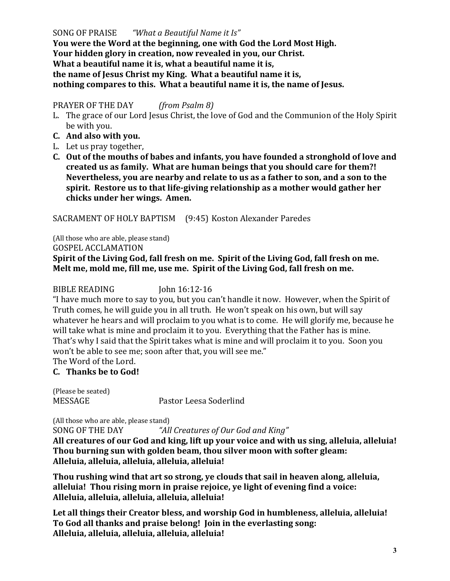SONG OF PRAISE *"What a Beautiful Name it Is"* You were the Word at the beginning, one with God the Lord Most High. **Your hidden glory in creation, now revealed in you, our Christ.** What a beautiful name it is, what a beautiful name it is, the name of Jesus Christ my King. What a beautiful name it is, **nothing compares to this. What a beautiful name it is, the name of Jesus.** 

#### PRAYER OF THE DAY *(from Psalm 8)*

- L. The grace of our Lord Jesus Christ, the love of God and the Communion of the Holy Spirit be with you.
- **C. And also with you.**
- L. Let us pray together,
- C. Out of the mouths of babes and infants, you have founded a stronghold of love and created us as family. What are human beings that you should care for them?! **Nevertheless, you are nearby and relate to us as a father to son, and a son to the** spirit. Restore us to that life-giving relationship as a mother would gather her chicks under her wings. Amen.

SACRAMENT OF HOLY BAPTISM (9:45) Koston Alexander Paredes

(All those who are able, please stand) GOSPEL ACCLAMATION Spirit of the Living God, fall fresh on me. Spirit of the Living God, fall fresh on me. Melt me, mold me, fill me, use me. Spirit of the Living God, fall fresh on me.

BIBLE READING John 16:12-16

"I have much more to say to you, but you can't handle it now. However, when the Spirit of Truth comes, he will guide you in all truth. He won't speak on his own, but will say whatever he hears and will proclaim to you what is to come. He will glorify me, because he will take what is mine and proclaim it to you. Everything that the Father has is mine. That's why I said that the Spirit takes what is mine and will proclaim it to you. Soon you won't be able to see me; soon after that, you will see me."

#### The Word of the Lord. **C. Thanks be to God!**

(Please be seated)

MESSAGE Pastor Leesa Soderlind

(All those who are able, please stand) SONG OF THE DAY *"All Creatures of Our God and King"* 

All creatures of our God and king, lift up your voice and with us sing, alleluia, alleluia! Thou burning sun with golden beam, thou silver moon with softer gleam: **Alleluia, alleluia, alleluia, alleluia, alleluia!**

Thou rushing wind that art so strong, ye clouds that sail in heaven along, alleluia, alleluia! Thou rising morn in praise rejoice, ye light of evening find a voice: **Alleluia, alleluia, alleluia, alleluia, alleluia!**

Let all things their Creator bless, and worship God in humbleness, alleluia, alleluia! To God all thanks and praise belong! Join in the everlasting song: **Alleluia, alleluia, alleluia, alleluia, alleluia!**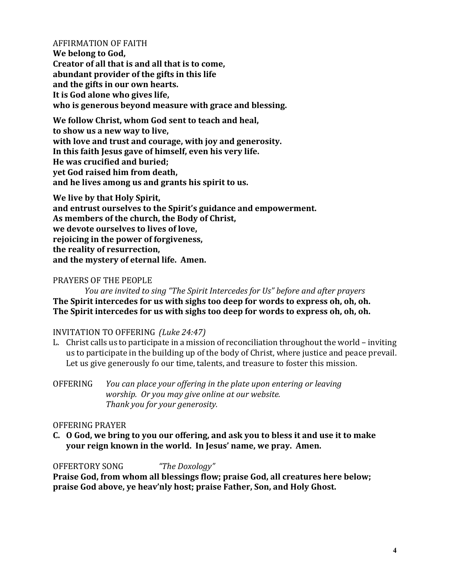#### AFFIRMATION OF FAITH

**We belong to God, Creator of all that is and all that is to come,** abundant provider of the gifts in this life and the gifts in our own hearts. It is God alone who gives life, who is generous beyond measure with grace and blessing.

We follow Christ, whom God sent to teach and heal, to show us a new way to live, with love and trust and courage, with joy and generosity. In this faith Jesus gave of himself, even his very life. **He was crucified and buried; yet God raised him from death,** and he lives among us and grants his spirit to us.

We live by that Holy Spirit, and entrust ourselves to the Spirit's guidance and empowerment. As members of the church, the Body of Christ, **we devote ourselves to lives of love,** rejoicing in the power of forgiveness, the reality of resurrection, and the mystery of eternal life. Amen.

#### PRAYERS OF THE PEOPLE

*You are invited to sing "The Spirit Intercedes for Us" before and after prayers* The Spirit intercedes for us with sighs too deep for words to express oh, oh, oh. The Spirit intercedes for us with sighs too deep for words to express oh, oh, oh.

#### INVITATION TO OFFERING *(Luke 24:47)*

L. Christ calls us to participate in a mission of reconciliation throughout the world – inviting us to participate in the building up of the body of Christ, where justice and peace prevail. Let us give generously fo our time, talents, and treasure to foster this mission.

OFFERING You can place your offering in the plate upon entering or leaving *worship.* Or you may give online at our website. *Thank you for your generosity.*

#### OFFERING PRAYER

**C.** O God, we bring to you our offering, and ask you to bless it and use it to make **your reign known in the world. In Jesus' name, we pray. Amen.** 

#### OFFERTORY SONG *"The Doxology"*

**Praise God, from whom all blessings flow; praise God, all creatures here below;** praise God above, ye heav'nly host; praise Father, Son, and Holy Ghost.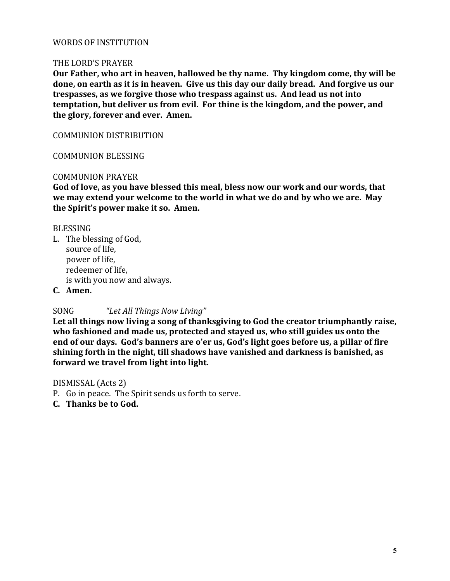# WORDS OF INSTITUTION

#### THE LORD'S PRAYER

Our Father, who art in heaven, hallowed be thy name. Thy kingdom come, thy will be done, on earth as it is in heaven. Give us this day our daily bread. And forgive us our trespasses, as we forgive those who trespass against us. And lead us not into **temptation, but deliver us from evil. For thine is the kingdom, and the power, and** the glory, forever and ever. Amen.

COMMUNION DISTRIBUTION

COMMUNION BLESSING

#### COMMUNION PRAYER

God of love, as you have blessed this meal, bless now our work and our words, that we may extend your welcome to the world in what we do and by who we are. May the Spirit's power make it so. Amen.

#### BLESSING

L. The blessing of God, source of life, power of life. redeemer of life, is with you now and always.

**C. Amen.**

SONG *"Let All Things Now Living"* 

Let all things now living a song of thanksgiving to God the creator triumphantly raise, who fashioned and made us, protected and stayed us, who still guides us onto the end of our days. God's banners are o'er us, God's light goes before us, a pillar of fire shining forth in the night, till shadows have vanished and darkness is banished, as **forward we travel from light into light.** 

#### DISMISSAL (Acts 2)

- P. Go in peace. The Spirit sends us forth to serve.
- **C. Thanks be to God.**